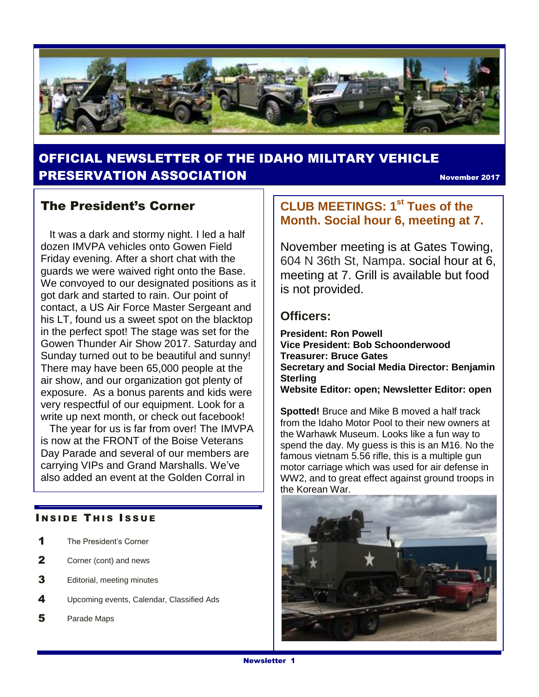

## OFFICIAL NEWSLETTER OF THE IDAHO MILITARY VEHICLE **PRESERVATION ASSOCIATION** NOTE: THE RESERVATION ASSOCIATION

### The President's Corner

 It was a dark and stormy night. I led a half dozen IMVPA vehicles onto Gowen Field Friday evening. After a short chat with the guards we were waived right onto the Base. We convoyed to our designated positions as it got dark and started to rain. Our point of contact, a US Air Force Master Sergeant and his LT, found us a sweet spot on the blacktop in the perfect spot! The stage was set for the Gowen Thunder Air Show 2017. Saturday and Sunday turned out to be beautiful and sunny! There may have been 65,000 people at the air show, and our organization got plenty of exposure. As a bonus parents and kids were very respectful of our equipment. Look for a write up next month, or check out facebook!

 The year for us is far from over! The IMVPA is now at the FRONT of the Boise Veterans Day Parade and several of our members are carrying VIPs and Grand Marshalls. We've also added an event at the Golden Corral in

#### **INSIDE THIS ISSUE**

- 1 The President's Corner
- 2 Corner (cont) and news
- **3** Editorial, meeting minutes
- 4 Upcoming events, Calendar, Classified Ads
- 5 Parade Maps

### **CLUB MEETINGS: 1st Tues of the Month. Social hour 6, meeting at 7.**

November meeting is at Gates Towing, 604 N 36th St, Nampa. social hour at 6, meeting at 7. Grill is available but food is not provided.

### **Officers:**

**President: Ron Powell Vice President: Bob Schoonderwood Treasurer: Bruce Gates Secretary and Social Media Director: Benjamin Sterling Website Editor: open; Newsletter Editor: open**

**Spotted!** Bruce and Mike B moved a half track from the Idaho Motor Pool to their new owners at the Warhawk Museum. Looks like a fun way to spend the day. My guess is this is an M16. No the famous vietnam 5.56 rifle, this is a multiple gun motor carriage which was used for air defense in WW2, and to great effect against ground troops in the Korean War.

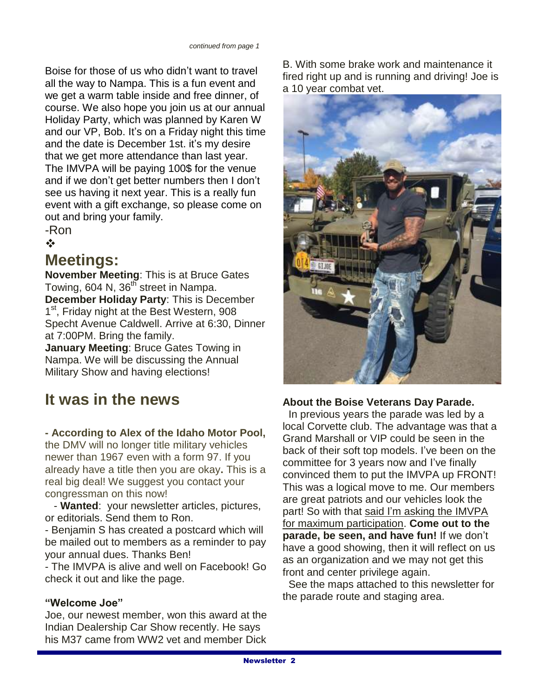Boise for those of us who didn't want to travel all the way to Nampa. This is a fun event and we get a warm table inside and free dinner, of course. We also hope you join us at our annual Holiday Party, which was planned by Karen W and our VP, Bob. It's on a Friday night this time and the date is December 1st. it's my desire that we get more attendance than last year. The IMVPA will be paying 100\$ for the venue and if we don't get better numbers then I don't see us having it next year. This is a really fun event with a gift exchange, so please come on out and bring your family.

-Ron

 $\frac{1}{2}$ 

# **Meetings:**

**November Meeting**: This is at Bruce Gates Towing, 604 N, 36<sup>th</sup> street in Nampa. **December Holiday Party**: This is December 1<sup>st</sup>, Friday night at the Best Western, 908 Specht Avenue Caldwell. Arrive at 6:30, Dinner at 7:00PM. Bring the family.

**January Meeting**: Bruce Gates Towing in Nampa. We will be discussing the Annual Military Show and having elections!

# **It was in the news**

**- According to Alex of the Idaho Motor Pool,** 

the DMV will no longer title military vehicles newer than 1967 even with a form 97. If you already have a title then you are okay**.** This is a real big deal! We suggest you contact your congressman on this now!

 - **Wanted**: your newsletter articles, pictures, or editorials. Send them to Ron.

- Benjamin S has created a postcard which will be mailed out to members as a reminder to pay your annual dues. Thanks Ben!

- The IMVPA is alive and well on Facebook! Go check it out and like the page.

#### **"Welcome Joe"**

Joe, our newest member, won this award at the Indian Dealership Car Show recently. He says his M37 came from WW2 vet and member Dick

B. With some brake work and maintenance it fired right up and is running and driving! Joe is a 10 year combat vet.



#### **About the Boise Veterans Day Parade.**

 In previous years the parade was led by a local Corvette club. The advantage was that a Grand Marshall or VIP could be seen in the back of their soft top models. I've been on the committee for 3 years now and I've finally convinced them to put the IMVPA up FRONT! This was a logical move to me. Our members are great patriots and our vehicles look the part! So with that said I'm asking the IMVPA for maximum participation. **Come out to the parade, be seen, and have fun!** If we don't have a good showing, then it will reflect on us as an organization and we may not get this front and center privilege again.

 See the maps attached to this newsletter for the parade route and staging area.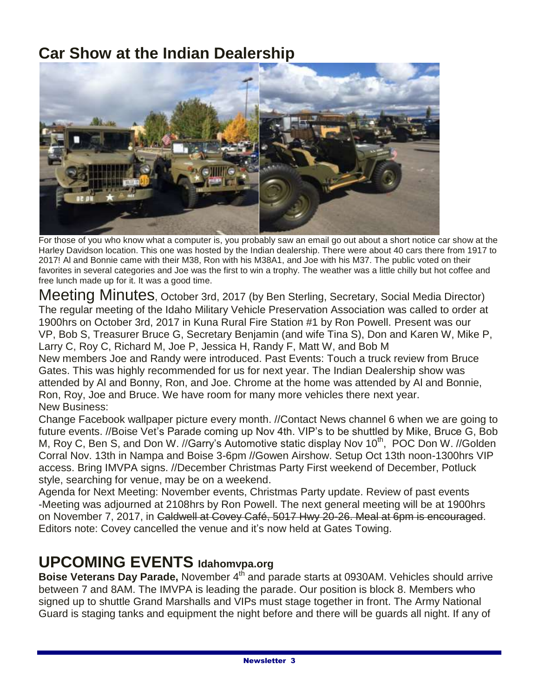# **Car Show at the Indian Dealership**



For those of you who know what a computer is, you probably saw an email go out about a short notice car show at the Harley Davidson location. This one was hosted by the Indian dealership. There were about 40 cars there from 1917 to 2017! Al and Bonnie came with their M38, Ron with his M38A1, and Joe with his M37. The public voted on their favorites in several categories and Joe was the first to win a trophy. The weather was a little chilly but hot coffee and free lunch made up for it. It was a good time.

Meeting Minutes, October 3rd, 2017 (by Ben Sterling, Secretary, Social Media Director) The regular meeting of the Idaho Military Vehicle Preservation Association was called to order at 1900hrs on October 3rd, 2017 in Kuna Rural Fire Station #1 by Ron Powell. Present was our VP, Bob S, Treasurer Bruce G, Secretary Benjamin (and wife Tina S), Don and Karen W, Mike P, Larry C, Roy C, Richard M, Joe P, Jessica H, Randy F, Matt W, and Bob M

New members Joe and Randy were introduced. Past Events: Touch a truck review from Bruce Gates. This was highly recommended for us for next year. The Indian Dealership show was attended by Al and Bonny, Ron, and Joe. Chrome at the home was attended by Al and Bonnie, Ron, Roy, Joe and Bruce. We have room for many more vehicles there next year. New Business:

Change Facebook wallpaper picture every month. //Contact News channel 6 when we are going to future events. //Boise Vet's Parade coming up Nov 4th. VIP's to be shuttled by Mike, Bruce G, Bob M, Roy C, Ben S, and Don W. //Garry's Automotive static display Nov 10<sup>th</sup>, POC Don W. //Golden Corral Nov. 13th in Nampa and Boise 3-6pm //Gowen Airshow. Setup Oct 13th noon-1300hrs VIP access. Bring IMVPA signs. //December Christmas Party First weekend of December, Potluck style, searching for venue, may be on a weekend.

Agenda for Next Meeting: November events, Christmas Party update. Review of past events -Meeting was adjourned at 2108hrs by Ron Powell. The next general meeting will be at 1900hrs on November 7, 2017, in Caldwell at Covey Café, 5017 Hwy 20-26. Meal at 6pm is encouraged. Editors note: Covey cancelled the venue and it's now held at Gates Towing.

# **UPCOMING EVENTS Idahomvpa.org**

**Boise Veterans Day Parade, November 4<sup>th</sup> and parade starts at 0930AM. Vehicles should arrive** between 7 and 8AM. The IMVPA is leading the parade. Our position is block 8. Members who signed up to shuttle Grand Marshalls and VIPs must stage together in front. The Army National Guard is staging tanks and equipment the night before and there will be guards all night. If any of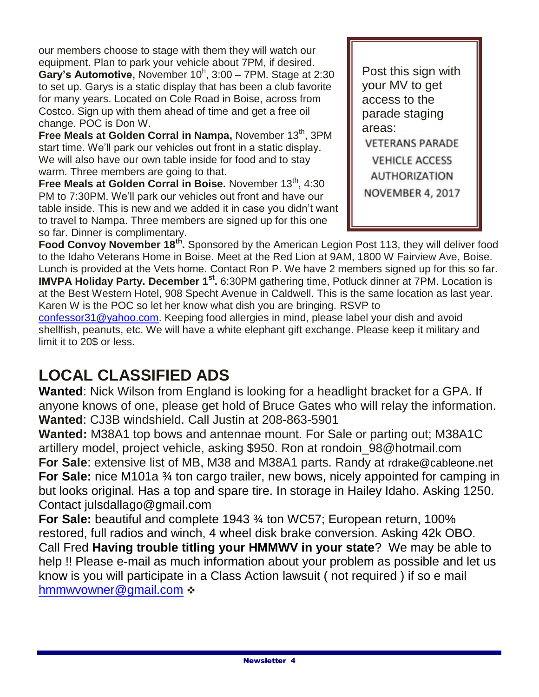our members choose to stage with them they will watch our equipment. Plan to park your vehicle about 7PM, if desired. Gary's Automotive, November 10<sup>h</sup>, 3:00 - 7PM. Stage at 2:30 to set up. Garys is a static display that has been a club favorite for many years. Located on Cole Road in Boise, across from Costco. Sign up with them ahead of time and get a free oil change. POC is Don W.

**Free Meals at Golden Corral in Nampa, November 13th, 3PM** start time. We'll park our vehicles out front in a static display. We will also have our own table inside for food and to stay warm. Three members are going to that.

Free Meals at Golden Corral in Boise. November 13<sup>th</sup>, 4:30 PM to 7:30PM. We'll park our vehicles out front and have our table inside. This is new and we added it in case you didn't want to travel to Nampa. Three members are signed up for this one so far. Dinner is complimentary.

Post this sign with your MV to get access to the parade staging areas:**VETERANS PARADE VEHICLE ACCESS AUTHORIZATION** NOVEMBER 4, 2017

**Food Convoy November 18th .** Sponsored by the American Legion Post 113, they will deliver food to the Idaho Veterans Home in Boise. Meet at the Red Lion at 9AM, 1800 W Fairview Ave, Boise. Lunch is provided at the Vets home. Contact Ron P. We have 2 members signed up for this so far. **IMVPA Holiday Party. December 1st .** 6:30PM gathering time, Potluck dinner at 7PM. Location is at the Best Western Hotel, 908 Specht Avenue in Caldwell. This is the same location as last year. Karen W is the POC so let her know what dish you are bringing. RSVP to

[confessor31@yahoo.com.](mailto:confessor31@yahoo.com) Keeping food allergies in mind, please label your dish and avoid shellfish, peanuts, etc. We will have a white elephant gift exchange. Please keep it military and limit it to 20\$ or less.

# **LOCAL CLASSIFIED ADS**

**Wanted**: Nick Wilson from England is looking for a headlight bracket for a GPA. If anyone knows of one, please get hold of Bruce Gates who will relay the information. **Wanted**: CJ3B windshield. Call Justin at 208-863-5901

**Wanted:** M38A1 top bows and antennae mount. For Sale or parting out; M38A1C artillery model, project vehicle, asking \$950. Ron at rondoin\_98@hotmail.com **For Sale**: extensive list of MB, M38 and M38A1 parts. Randy at rdrake@cableone.net **For Sale:** nice M101a <sup>3</sup>/<sub>4</sub> ton cargo trailer, new bows, nicely appointed for camping in but looks original. Has a top and spare tire. In storage in Hailey Idaho. Asking 1250.

Contact julsdallago@gmail.com

**For Sale:** beautiful and complete 1943 ¾ ton WC57; European return, 100% restored, full radios and winch, 4 wheel disk brake conversion. Asking 42k OBO. Call Fred **Having trouble titling your HMMWV in your state**? We may be able to help !! Please e-mail as much information about your problem as possible and let us know is you will participate in a Class Action lawsuit ( not required ) if so e mail [hmmwvowner@gmail.com](mailto:hmmwvowner@gmail.com) :